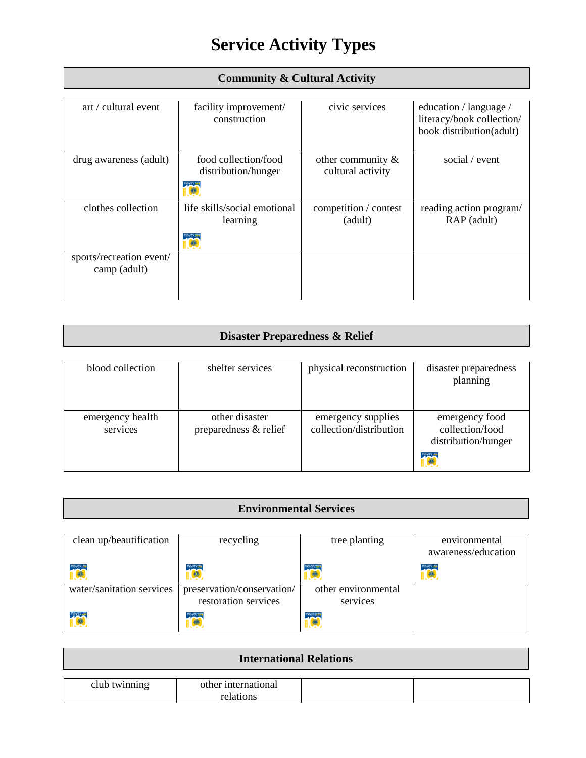# **Service Activity Types**

| art / cultural event     | facility improvement/        | civic services        | education / language /    |
|--------------------------|------------------------------|-----------------------|---------------------------|
|                          | construction                 |                       | literacy/book collection/ |
|                          |                              |                       | book distribution(adult)  |
|                          |                              |                       |                           |
| drug awareness (adult)   | food collection/food         | other community $\&$  | social / event            |
|                          | distribution/hunger          | cultural activity     |                           |
|                          | THERE'S A LIST               |                       |                           |
| clothes collection       | life skills/social emotional | competition / contest | reading action program/   |
|                          | learning                     | (adult)               | RAP (adult)               |
|                          | <b>RESERVE A LIST</b>        |                       |                           |
| sports/recreation event/ |                              |                       |                           |
| camp (adult)             |                              |                       |                           |
|                          |                              |                       |                           |
|                          |                              |                       |                           |

## **Community & Cultural Activity**

### **Disaster Preparedness & Relief**

| blood collection             | shelter services                        | physical reconstruction                       | disaster preparedness<br>planning                                     |
|------------------------------|-----------------------------------------|-----------------------------------------------|-----------------------------------------------------------------------|
| emergency health<br>services | other disaster<br>preparedness & relief | emergency supplies<br>collection/distribution | emergency food<br>collection/food<br>distribution/hunger<br>THE STATE |

## **Environmental Services**

| clean up/beautification   | recycling                                          | tree planting                   | environmental<br>awareness/education |
|---------------------------|----------------------------------------------------|---------------------------------|--------------------------------------|
| <b>TOP</b>                | THERE'S A LE                                       | THERE'S A LIC                   | THEFT A LK                           |
| water/sanitation services | preservation/conservation/<br>restoration services | other environmental<br>services |                                      |
| <b>TOP</b>                | THERE'S ALL                                        | THERE'S A LE                    |                                      |

| <b>International Relations</b> |                     |  |  |
|--------------------------------|---------------------|--|--|
| club twinning                  | other international |  |  |
|                                | relations           |  |  |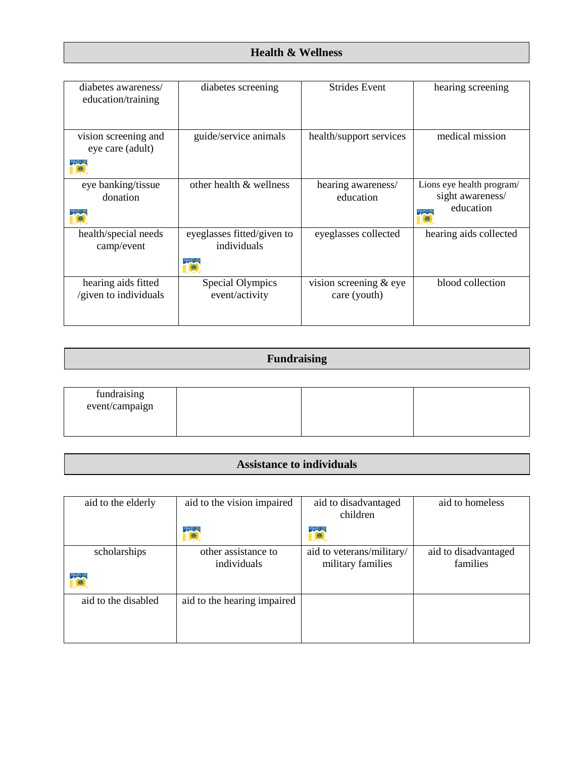#### **Health & Wellness**

| diabetes awareness/<br>education/training    | diabetes screening                                         | <b>Strides Event</b>                   | hearing screening                                                               |
|----------------------------------------------|------------------------------------------------------------|----------------------------------------|---------------------------------------------------------------------------------|
| vision screening and<br>eye care (adult)     | guide/service animals                                      | health/support services                | medical mission                                                                 |
| eye banking/tissue<br>donation               | other health & wellness                                    | hearing awareness/<br>education        | Lions eye health program/<br>sight awareness/<br>education<br><b>HERE : 100</b> |
| health/special needs<br>camp/event           | eyeglasses fitted/given to<br>individuals<br><b>PIPEAU</b> | eyeglasses collected                   | hearing aids collected                                                          |
| hearing aids fitted<br>/given to individuals | Special Olympics<br>event/activity                         | vision screening & eye<br>care (youth) | blood collection                                                                |

| <b>Fundraising</b> |  |
|--------------------|--|
|                    |  |

| fundraising<br>event/campaign |  |  |
|-------------------------------|--|--|
|                               |  |  |

#### **Assistance to individuals**

| aid to the elderly         | aid to the vision impaired         | aid to disadvantaged<br>children               | aid to homeless                  |
|----------------------------|------------------------------------|------------------------------------------------|----------------------------------|
|                            | <b>TANK</b>                        |                                                |                                  |
| scholarships<br><b>TOP</b> | other assistance to<br>individuals | aid to veterans/military/<br>military families | aid to disadvantaged<br>families |
| aid to the disabled        | aid to the hearing impaired        |                                                |                                  |